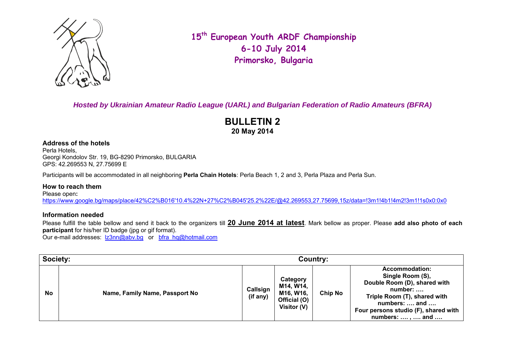

**<sup>15</sup>th European Youth ARDF Championship 6-10 July 2014 Primorsko, Bulgaria** 

*Hosted by Ukrainian Amateur Radio League (UARL) and Bulgarian Federation of Radio Amateurs (BFRA)* 

# **BULLETIN 2 20 May 2014**

**Address of the hotels** 

Perla Hotels, Georgi Kondolov Str. 19, BG-8290 Primorsko, BULGARIA GPS: 42.269553 N, 27.75699 E

Participants will be accommodated in all neighboring **Perla Chain Hotels**: Perla Beach 1, 2 and 3, Perla Plaza and Perla Sun.

**How to reach them** Please open**:** https://www.google.bg/maps/place/42%C2%B016'10.4%22N+27%C2%B045'25.2%22E/@42.269553,27.75699,15z/data=!3m1!4b1!4m2!3m1!1s0x0:0x0

#### **Information needed**

Please fulfill the table bellow and send it back to the organizers till **20 June 2014 at latest**. Mark bellow as proper. Please **add also photo of each participant** for his/her ID badge (ipg or gif format).

Our e-mail addresses: lz3nn@abv.bg or bfra\_hq@hotmail.com

| Society:  |                                | Country:             |                                                                   |                |                                                                                                                                                                                                                   |
|-----------|--------------------------------|----------------------|-------------------------------------------------------------------|----------------|-------------------------------------------------------------------------------------------------------------------------------------------------------------------------------------------------------------------|
| <b>No</b> | Name, Family Name, Passport No | Callsign<br>(if any) | Category<br>M14, W14,<br>M16, W16,<br>Official (O)<br>Visitor (V) | <b>Chip No</b> | Accommodation:<br>Single Room (S),<br>Double Room (D), shared with<br>$number: \ldots$<br>Triple Room (T), shared with<br>numbers: $\dots$ and $\dots$<br>Four persons studio (F), shared with<br>numbers: ,  and |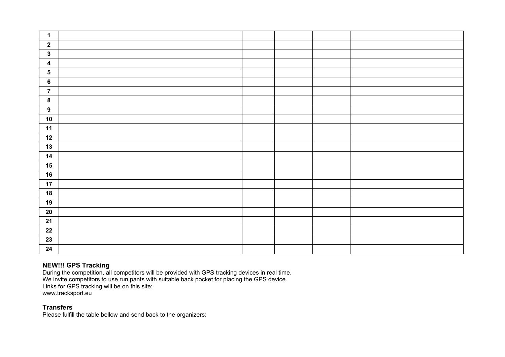| $\mathbf 1$             |  |  |  |
|-------------------------|--|--|--|
| $\mathbf{2}$            |  |  |  |
| $\mathbf{3}$            |  |  |  |
| $\boldsymbol{4}$        |  |  |  |
| $\overline{\mathbf{5}}$ |  |  |  |
| $6\phantom{a}$          |  |  |  |
| $\overline{7}$          |  |  |  |
| $\bf{8}$                |  |  |  |
| 9                       |  |  |  |
| 10                      |  |  |  |
| $11$                    |  |  |  |
| $12$                    |  |  |  |
| $13$                    |  |  |  |
| 14                      |  |  |  |
| $15$                    |  |  |  |
| 16                      |  |  |  |
| $17$                    |  |  |  |
| $18$                    |  |  |  |
| 19                      |  |  |  |
| ${\bf 20}$              |  |  |  |
| 21                      |  |  |  |
| ${\bf 22}$              |  |  |  |
| 23                      |  |  |  |
| 24                      |  |  |  |

# **NEW!!! GPS Tracking**

During the competition, all competitors will be provided with GPS tracking devices in real time. We invite competitors to use run pants with suitable back pocket for placing the GPS device. Links for GPS tracking will be on this site: www.tracksport.eu

## **Transfers**

Please fulfill the table bellow and send back to the organizers: